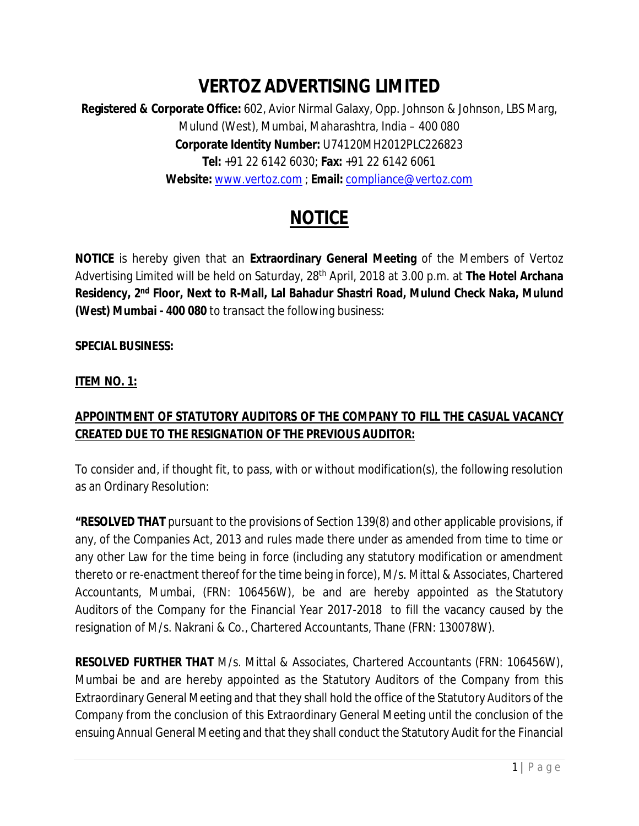**Registered & Corporate Office:** 602, Avior Nirmal Galaxy, Opp. Johnson & Johnson, LBS Marg, Mulund (West), Mumbai, Maharashtra, India – 400 080 **Corporate Identity Number:** U74120MH2012PLC226823 **Tel:** +91 22 6142 6030; **Fax:** +91 22 6142 6061 **Website:** [www.vertoz.com](http://www.vertoz.com) ; **Email:** [compliance@vertoz.com](mailto:compliance@vertoz.com)

# **NOTICE**

**NOTICE** is hereby given that an **Extraordinary General Meeting** of the Members of Vertoz Advertising Limited will be held on Saturday, 28<sup>th</sup> April, 2018 at 3.00 p.m. at **The Hotel Archana Residency, 2 nd Floor, Next to R-Mall, Lal Bahadur Shastri Road, Mulund Check Naka, Mulund (West) Mumbai - 400 080** to transact the following business:

## **SPECIAL BUSINESS:**

## **ITEM NO. 1:**

## **APPOINTMENT OF STATUTORY AUDITORS OF THE COMPANY TO FILL THE CASUAL VACANCY CREATED DUE TO THE RESIGNATION OF THE PREVIOUS AUDITOR:**

To consider and, if thought fit, to pass, with or without modification(s), the following resolution as an Ordinary Resolution:

**"RESOLVED THAT** pursuant to the provisions of Section 139(8) and other applicable provisions, if any, of the Companies Act, 2013 and rules made there under as amended from time to time or any other Law for the time being in force (including any statutory modification or amendment thereto or re-enactment thereof for the time being in force), M/s. Mittal & Associates, Chartered Accountants, Mumbai, (FRN: 106456W), be and are hereby appointed as the Statutory Auditors of the Company for the Financial Year 2017-2018 to fill the vacancy caused by the resignation of M/s. Nakrani & Co., Chartered Accountants, Thane (FRN: 130078W).

**RESOLVED FURTHER THAT** M/s. Mittal & Associates, Chartered Accountants (FRN: 106456W), Mumbai be and are hereby appointed as the Statutory Auditors of the Company from this Extraordinary General Meeting and that they shall hold the office of the Statutory Auditors of the Company from the conclusion of this Extraordinary General Meeting until the conclusion of the ensuing Annual General Meeting and that they shall conduct the Statutory Audit for the Financial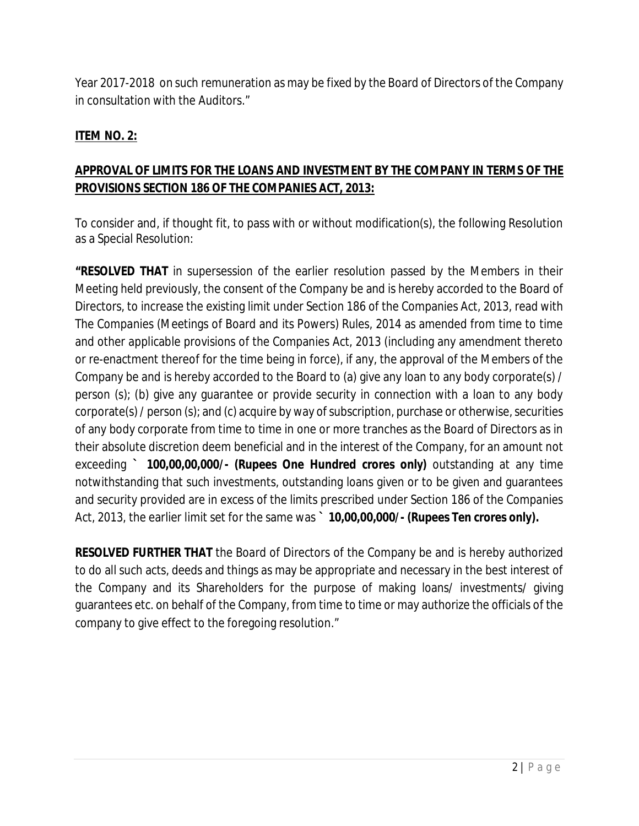Year 2017-2018 on such remuneration as may be fixed by the Board of Directors of the Company in consultation with the Auditors."

## **ITEM NO. 2:**

## **APPROVAL OF LIMITS FOR THE LOANS AND INVESTMENT BY THE COMPANY IN TERMS OF THE PROVISIONS SECTION 186 OF THE COMPANIES ACT, 2013:**

To consider and, if thought fit, to pass with or without modification(s), the following Resolution as a Special Resolution:

**"RESOLVED THAT** in supersession of the earlier resolution passed by the Members in their Meeting held previously, the consent of the Company be and is hereby accorded to the Board of Directors, to increase the existing limit under Section 186 of the Companies Act, 2013, read with The Companies (Meetings of Board and its Powers) Rules, 2014 as amended from time to time and other applicable provisions of the Companies Act, 2013 (including any amendment thereto or re-enactment thereof for the time being in force), if any, the approval of the Members of the Company be and is hereby accorded to the Board to (a) give any loan to any body corporate(s) / person (s); (b) give any guarantee or provide security in connection with a loan to any body corporate(s) / person (s); and (c) acquire by way of subscription, purchase or otherwise, securities of any body corporate from time to time in one or more tranches as the Board of Directors as in their absolute discretion deem beneficial and in the interest of the Company, for an amount not exceeding **` 100,00,00,000/- (Rupees One Hundred crores only)** outstanding at any time notwithstanding that such investments, outstanding loans given or to be given and guarantees and security provided are in excess of the limits prescribed under Section 186 of the Companies Act, 2013, the earlier limit set for the same was **` 10,00,00,000/- (Rupees Ten crores only).**

**RESOLVED FURTHER THAT** the Board of Directors of the Company be and is hereby authorized to do all such acts, deeds and things as may be appropriate and necessary in the best interest of the Company and its Shareholders for the purpose of making loans/ investments/ giving guarantees etc. on behalf of the Company, from time to time or may authorize the officials of the company to give effect to the foregoing resolution."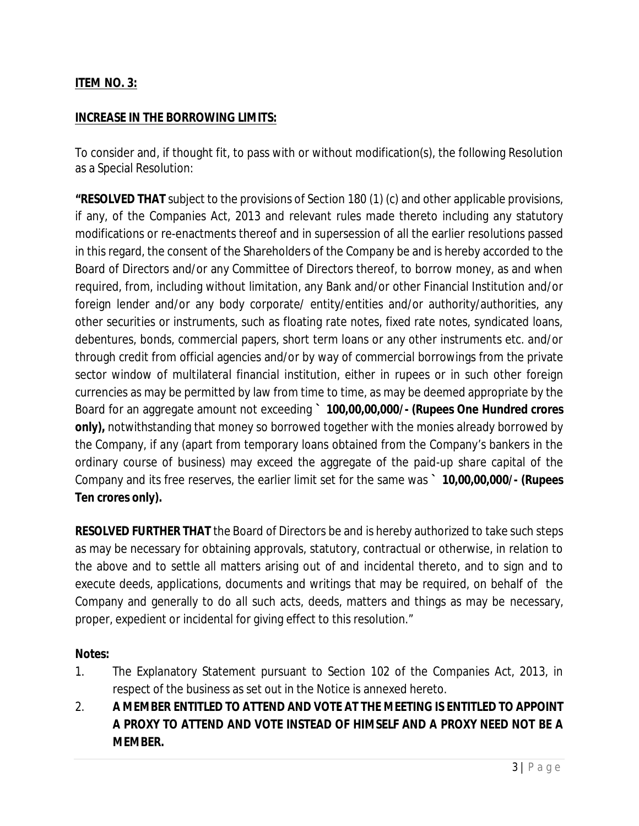## **ITEM NO. 3:**

#### **INCREASE IN THE BORROWING LIMITS:**

To consider and, if thought fit, to pass with or without modification(s), the following Resolution as a Special Resolution:

**"RESOLVED THAT** subject to the provisions of Section 180 (1) (c) and other applicable provisions, if any, of the Companies Act, 2013 and relevant rules made thereto including any statutory modifications or re-enactments thereof and in supersession of all the earlier resolutions passed in this regard, the consent of the Shareholders of the Company be and is hereby accorded to the Board of Directors and/or any Committee of Directors thereof, to borrow money, as and when required, from, including without limitation, any Bank and/or other Financial Institution and/or foreign lender and/or any body corporate/ entity/entities and/or authority/authorities, any other securities or instruments, such as floating rate notes, fixed rate notes, syndicated loans, debentures, bonds, commercial papers, short term loans or any other instruments etc. and/or through credit from official agencies and/or by way of commercial borrowings from the private sector window of multilateral financial institution, either in rupees or in such other foreign currencies as may be permitted by law from time to time, as may be deemed appropriate by the Board for an aggregate amount not exceeding **` 100,00,00,000/- (Rupees One Hundred crores only),** notwithstanding that money so borrowed together with the monies already borrowed by the Company, if any (apart from temporary loans obtained from the Company's bankers in the ordinary course of business) may exceed the aggregate of the paid-up share capital of the Company and its free reserves, the earlier limit set for the same was **` 10,00,00,000/- (Rupees Ten crores only).**

**RESOLVED FURTHER THAT** the Board of Directors be and is hereby authorized to take such steps as may be necessary for obtaining approvals, statutory, contractual or otherwise, in relation to the above and to settle all matters arising out of and incidental thereto, and to sign and to execute deeds, applications, documents and writings that may be required, on behalf of the Company and generally to do all such acts, deeds, matters and things as may be necessary, proper, expedient or incidental for giving effect to this resolution."

#### **Notes:**

- 1. The Explanatory Statement pursuant to Section 102 of the Companies Act, 2013, in respect of the business as set out in the Notice is annexed hereto.
- 2. **A MEMBER ENTITLED TO ATTEND AND VOTE AT THE MEETING IS ENTITLED TO APPOINT A PROXY TO ATTEND AND VOTE INSTEAD OF HIMSELF AND A PROXY NEED NOT BE A MEMBER.**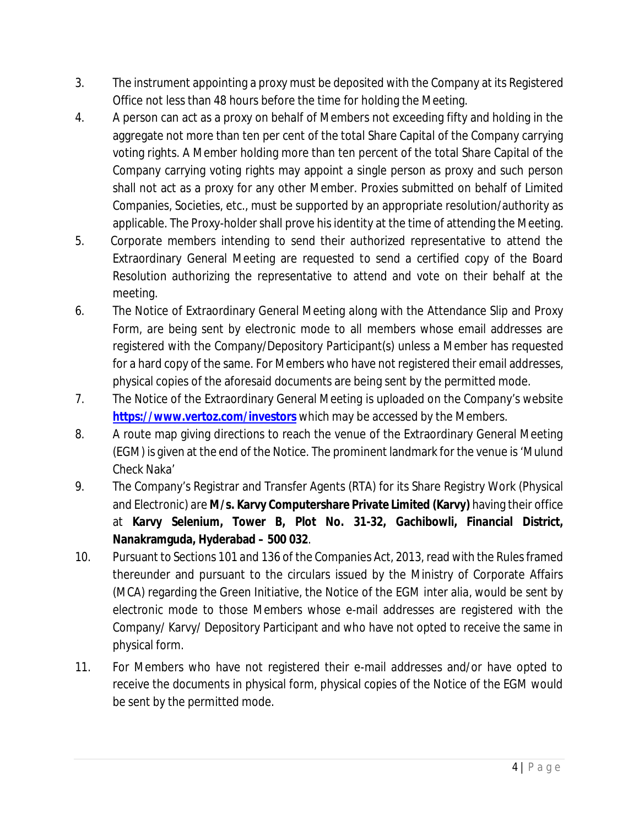- 3. The instrument appointing a proxy must be deposited with the Company at its Registered Office not less than 48 hours before the time for holding the Meeting.
- 4. A person can act as a proxy on behalf of Members not exceeding fifty and holding in the aggregate not more than ten per cent of the total Share Capital of the Company carrying voting rights. A Member holding more than ten percent of the total Share Capital of the Company carrying voting rights may appoint a single person as proxy and such person shall not act as a proxy for any other Member. Proxies submitted on behalf of Limited Companies, Societies, etc., must be supported by an appropriate resolution/authority as applicable. The Proxy-holder shall prove his identity at the time of attending the Meeting.
- 5. Corporate members intending to send their authorized representative to attend the Extraordinary General Meeting are requested to send a certified copy of the Board Resolution authorizing the representative to attend and vote on their behalf at the meeting.
- 6. The Notice of Extraordinary General Meeting along with the Attendance Slip and Proxy Form, are being sent by electronic mode to all members whose email addresses are registered with the Company/Depository Participant(s) unless a Member has requested for a hard copy of the same. For Members who have not registered their email addresses, physical copies of the aforesaid documents are being sent by the permitted mode.
- 7. The Notice of the Extraordinary General Meeting is uploaded on the Company's website **<https://www.vertoz.com/investors>** which may be accessed by the Members.
- 8. A route map giving directions to reach the venue of the Extraordinary General Meeting (EGM) is given at the end of the Notice. The prominent landmark for the venue is 'Mulund Check Naka'
- 9. The Company's Registrar and Transfer Agents (RTA) for its Share Registry Work (Physical and Electronic) are **M/s. Karvy Computershare Private Limited (Karvy)** having their office at **Karvy Selenium, Tower B, Plot No. 31-32, Gachibowli, Financial District, Nanakramguda, Hyderabad – 500 032**.
- 10. Pursuant to Sections 101 and 136 of the Companies Act, 2013, read with the Rules framed thereunder and pursuant to the circulars issued by the Ministry of Corporate Affairs (MCA) regarding the Green Initiative, the Notice of the EGM inter alia, would be sent by electronic mode to those Members whose e-mail addresses are registered with the Company/ Karvy/ Depository Participant and who have not opted to receive the same in physical form.
- 11. For Members who have not registered their e-mail addresses and/or have opted to receive the documents in physical form, physical copies of the Notice of the EGM would be sent by the permitted mode.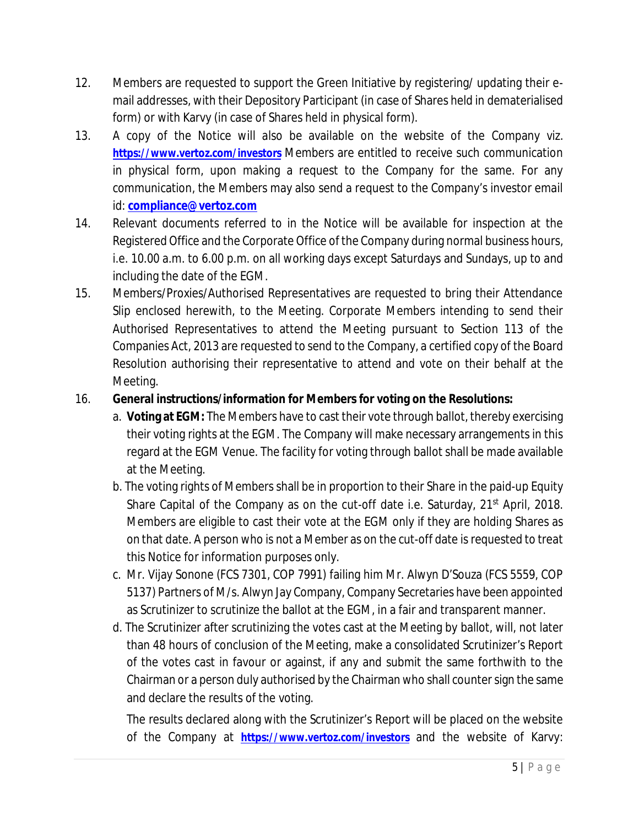- 12. Members are requested to support the Green Initiative by registering/ updating their email addresses, with their Depository Participant (in case of Shares held in dematerialised form) or with Karvy (in case of Shares held in physical form).
- 13. A copy of the Notice will also be available on the website of the Company viz. **<https://www.vertoz.com/investors>** Members are entitled to receive such communication in physical form, upon making a request to the Company for the same. For any communication, the Members may also send a request to the Company's investor email id: **[compliance@vertoz.com](mailto:compliance@vertoz.com)**
- 14. Relevant documents referred to in the Notice will be available for inspection at the Registered Office and the Corporate Office of the Company during normal business hours, i.e. 10.00 a.m. to 6.00 p.m. on all working days except Saturdays and Sundays, up to and including the date of the EGM.
- 15. Members/Proxies/Authorised Representatives are requested to bring their Attendance Slip enclosed herewith, to the Meeting. Corporate Members intending to send their Authorised Representatives to attend the Meeting pursuant to Section 113 of the Companies Act, 2013 are requested to send to the Company, a certified copy of the Board Resolution authorising their representative to attend and vote on their behalf at the Meeting.

## 16. **General instructions/information for Members for voting on the Resolutions:**

- a. **Voting at EGM:** The Members have to cast their vote through ballot, thereby exercising their voting rights at the EGM. The Company will make necessary arrangements in this regard at the EGM Venue. The facility for voting through ballot shall be made available at the Meeting.
- b. The voting rights of Members shall be in proportion to their Share in the paid-up Equity Share Capital of the Company as on the cut-off date i.e. Saturday, 21<sup>st</sup> April, 2018. Members are eligible to cast their vote at the EGM only if they are holding Shares as on that date. A person who is not a Member as on the cut-off date is requested to treat this Notice for information purposes only.
- c. Mr. Vijay Sonone (FCS 7301, COP 7991) failing him Mr. Alwyn D'Souza (FCS 5559, COP 5137) Partners of M/s. Alwyn Jay Company, Company Secretaries have been appointed as Scrutinizer to scrutinize the ballot at the EGM, in a fair and transparent manner.
- d. The Scrutinizer after scrutinizing the votes cast at the Meeting by ballot, will, not later than 48 hours of conclusion of the Meeting, make a consolidated Scrutinizer's Report of the votes cast in favour or against, if any and submit the same forthwith to the Chairman or a person duly authorised by the Chairman who shall counter sign the same and declare the results of the voting.

The results declared along with the Scrutinizer's Report will be placed on the website of the Company at **<https://www.vertoz.com/investors>** and the website of Karvy: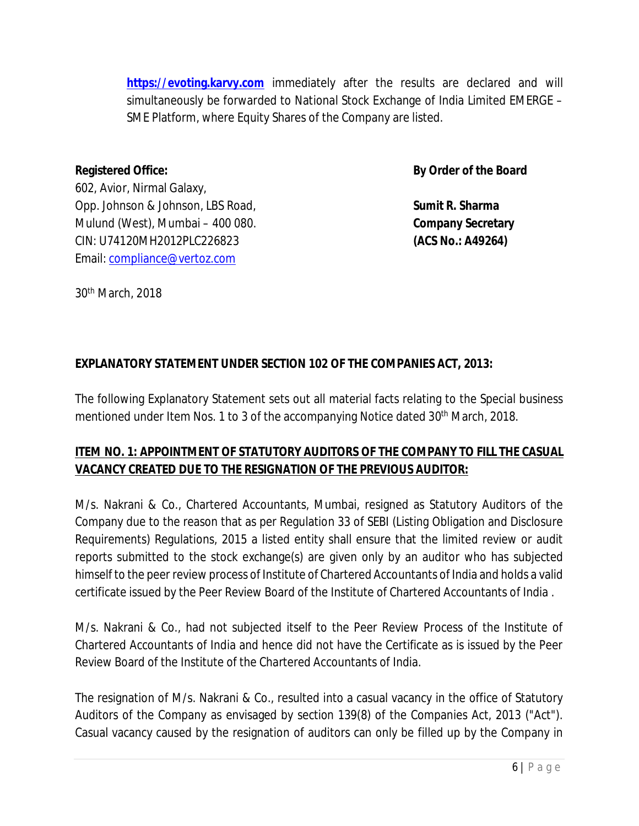**<https://evoting.karvy.com>** immediately after the results are declared and will simultaneously be forwarded to National Stock Exchange of India Limited EMERGE – SME Platform, where Equity Shares of the Company are listed.

602, Avior, Nirmal Galaxy, Opp. Johnson & Johnson, LBS Road, **Sumit R. Sharma** Sumit R. Sharma Mulund (West), Mumbai – 400 080. **Company Secretary** CIN: U74120MH2012PLC226823 **(ACS No.: A49264)** Email: [compliance@vertoz.com](mailto:compliance@vertoz.com)

**Registered Office: By Order of the Board**

30th March, 2018

## **EXPLANATORY STATEMENT UNDER SECTION 102 OF THE COMPANIES ACT, 2013:**

The following Explanatory Statement sets out all material facts relating to the Special business mentioned under Item Nos. 1 to 3 of the accompanying Notice dated 30<sup>th</sup> March, 2018.

## **ITEM NO. 1: APPOINTMENT OF STATUTORY AUDITORS OF THE COMPANY TO FILL THE CASUAL VACANCY CREATED DUE TO THE RESIGNATION OF THE PREVIOUS AUDITOR:**

M/s. Nakrani & Co., Chartered Accountants, Mumbai, resigned as Statutory Auditors of the Company due to the reason that as per Regulation 33 of SEBI (Listing Obligation and Disclosure Requirements) Regulations, 2015 a listed entity shall ensure that the limited review or audit reports submitted to the stock exchange(s) are given only by an auditor who has subjected himself to the peer review process of Institute of Chartered Accountants of India and holds a valid certificate issued by the Peer Review Board of the Institute of Chartered Accountants of India .

M/s. Nakrani & Co., had not subjected itself to the Peer Review Process of the Institute of Chartered Accountants of India and hence did not have the Certificate as is issued by the Peer Review Board of the Institute of the Chartered Accountants of India.

The resignation of M/s. Nakrani & Co., resulted into a casual vacancy in the office of Statutory Auditors of the Company as envisaged by section 139(8) of the Companies Act, 2013 ("Act"). Casual vacancy caused by the resignation of auditors can only be filled up by the Company in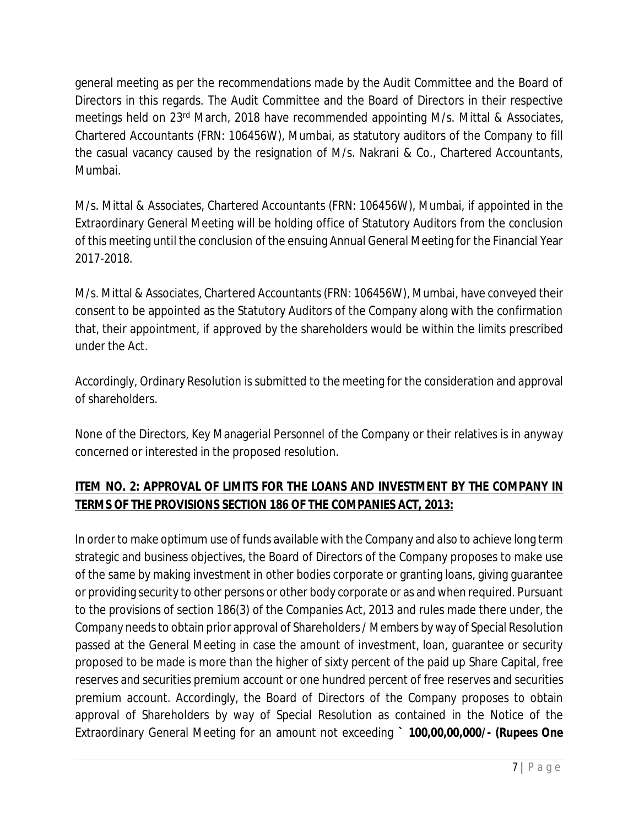general meeting as per the recommendations made by the Audit Committee and the Board of Directors in this regards. The Audit Committee and the Board of Directors in their respective meetings held on 23rd March, 2018 have recommended appointing M/s. Mittal & Associates, Chartered Accountants (FRN: 106456W), Mumbai, as statutory auditors of the Company to fill the casual vacancy caused by the resignation of M/s. Nakrani & Co., Chartered Accountants, Mumbai.

M/s. Mittal & Associates, Chartered Accountants (FRN: 106456W), Mumbai, if appointed in the Extraordinary General Meeting will be holding office of Statutory Auditors from the conclusion of this meeting until the conclusion of the ensuing Annual General Meeting for the Financial Year 2017-2018.

M/s. Mittal & Associates, Chartered Accountants (FRN: 106456W), Mumbai, have conveyed their consent to be appointed as the Statutory Auditors of the Company along with the confirmation that, their appointment, if approved by the shareholders would be within the limits prescribed under the Act.

Accordingly, Ordinary Resolution is submitted to the meeting for the consideration and approval of shareholders.

None of the Directors, Key Managerial Personnel of the Company or their relatives is in anyway concerned or interested in the proposed resolution.

## **ITEM NO. 2: APPROVAL OF LIMITS FOR THE LOANS AND INVESTMENT BY THE COMPANY IN TERMS OF THE PROVISIONS SECTION 186 OF THE COMPANIES ACT, 2013:**

In order to make optimum use of funds available with the Company and also to achieve long term strategic and business objectives, the Board of Directors of the Company proposes to make use of the same by making investment in other bodies corporate or granting loans, giving guarantee or providing security to other persons or other body corporate or as and when required. Pursuant to the provisions of section 186(3) of the Companies Act, 2013 and rules made there under, the Company needs to obtain prior approval of Shareholders / Members by way of Special Resolution passed at the General Meeting in case the amount of investment, loan, guarantee or security proposed to be made is more than the higher of sixty percent of the paid up Share Capital, free reserves and securities premium account or one hundred percent of free reserves and securities premium account. Accordingly, the Board of Directors of the Company proposes to obtain approval of Shareholders by way of Special Resolution as contained in the Notice of the Extraordinary General Meeting for an amount not exceeding **` 100,00,00,000/- (Rupees One**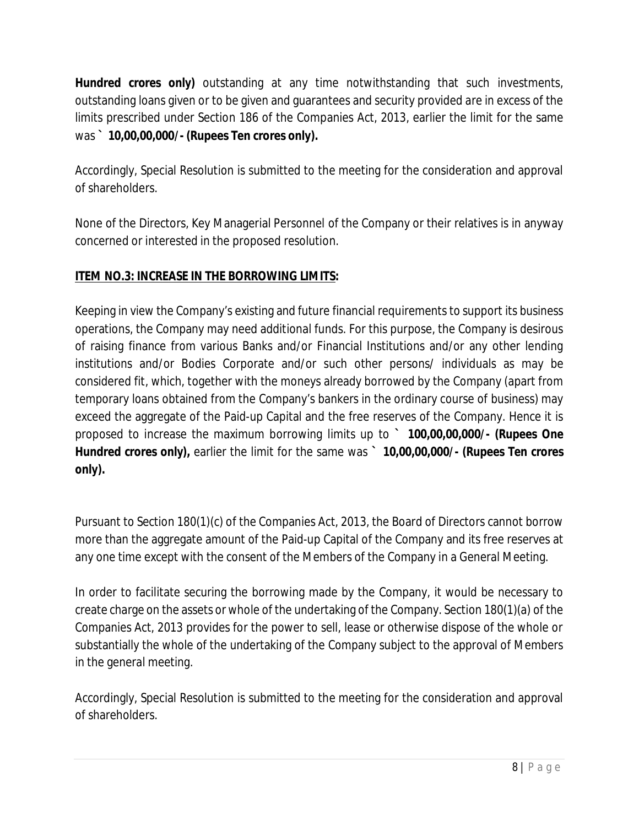**Hundred crores only)** outstanding at any time notwithstanding that such investments, outstanding loans given or to be given and guarantees and security provided are in excess of the limits prescribed under Section 186 of the Companies Act, 2013, earlier the limit for the same was **` 10,00,00,000/- (Rupees Ten crores only).**

Accordingly, Special Resolution is submitted to the meeting for the consideration and approval of shareholders.

None of the Directors, Key Managerial Personnel of the Company or their relatives is in anyway concerned or interested in the proposed resolution.

## **ITEM NO.3: INCREASE IN THE BORROWING LIMITS:**

Keeping in view the Company's existing and future financial requirements to support its business operations, the Company may need additional funds. For this purpose, the Company is desirous of raising finance from various Banks and/or Financial Institutions and/or any other lending institutions and/or Bodies Corporate and/or such other persons/ individuals as may be considered fit, which, together with the moneys already borrowed by the Company (apart from temporary loans obtained from the Company's bankers in the ordinary course of business) may exceed the aggregate of the Paid-up Capital and the free reserves of the Company. Hence it is proposed to increase the maximum borrowing limits up to **` 100,00,00,000/- (Rupees One Hundred crores only),** earlier the limit for the same was **` 10,00,00,000/- (Rupees Ten crores only).**

Pursuant to Section 180(1)(c) of the Companies Act, 2013, the Board of Directors cannot borrow more than the aggregate amount of the Paid-up Capital of the Company and its free reserves at any one time except with the consent of the Members of the Company in a General Meeting.

In order to facilitate securing the borrowing made by the Company, it would be necessary to create charge on the assets or whole of the undertaking of the Company. Section 180(1)(a) of the Companies Act, 2013 provides for the power to sell, lease or otherwise dispose of the whole or substantially the whole of the undertaking of the Company subject to the approval of Members in the general meeting.

Accordingly, Special Resolution is submitted to the meeting for the consideration and approval of shareholders.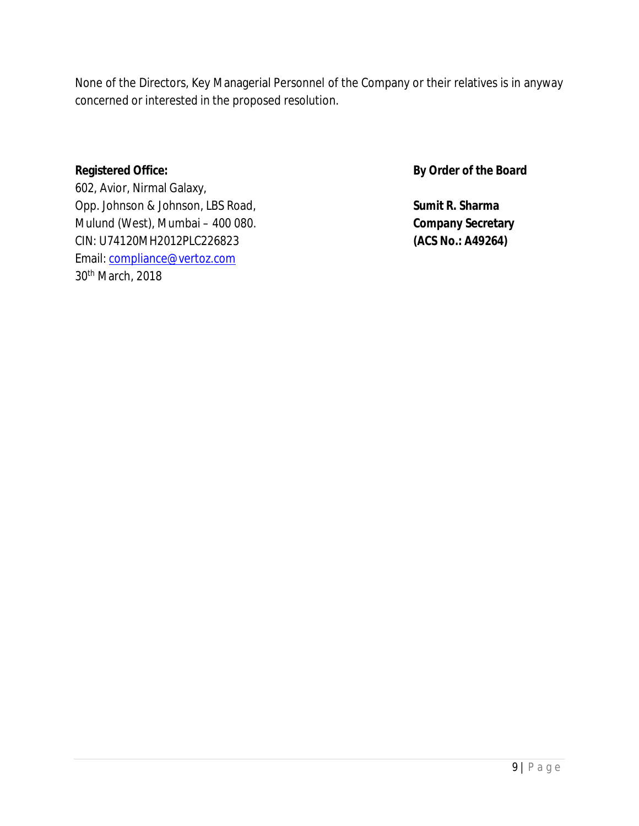None of the Directors, Key Managerial Personnel of the Company or their relatives is in anyway concerned or interested in the proposed resolution.

602, Avior, Nirmal Galaxy, Opp. Johnson & Johnson, LBS Road, **Sumit R. Sharma** Sumit R. Sharma Mulund (West), Mumbai – 400 080. **Company Secretary** CIN: U74120MH2012PLC226823 **(ACS No.: A49264)** Email: [compliance@vertoz.com](mailto:compliance@vertoz.com) 30th March, 2018

**Registered Office: By Order of the Board**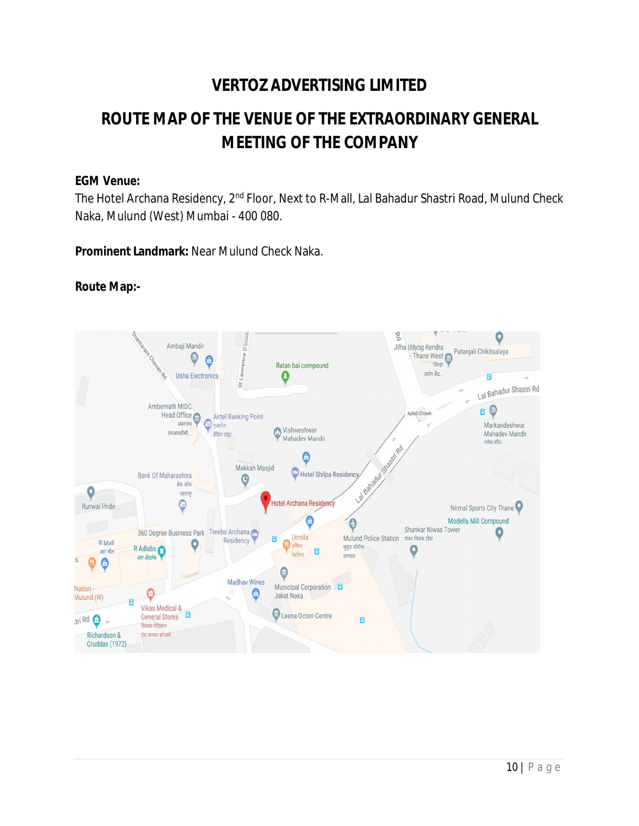# **ROUTE MAP OF THE VENUE OF THE EXTRAORDINARY GENERAL MEETING OF THE COMPANY**

### **EGM Venue:**

The Hotel Archana Residency, 2<sup>nd</sup> Floor, Next to R-Mall, Lal Bahadur Shastri Road, Mulund Check Naka, Mulund (West) Mumbai - 400 080.

**Prominent Landmark:** Near Mulund Check Naka.

### **Route Map:-**

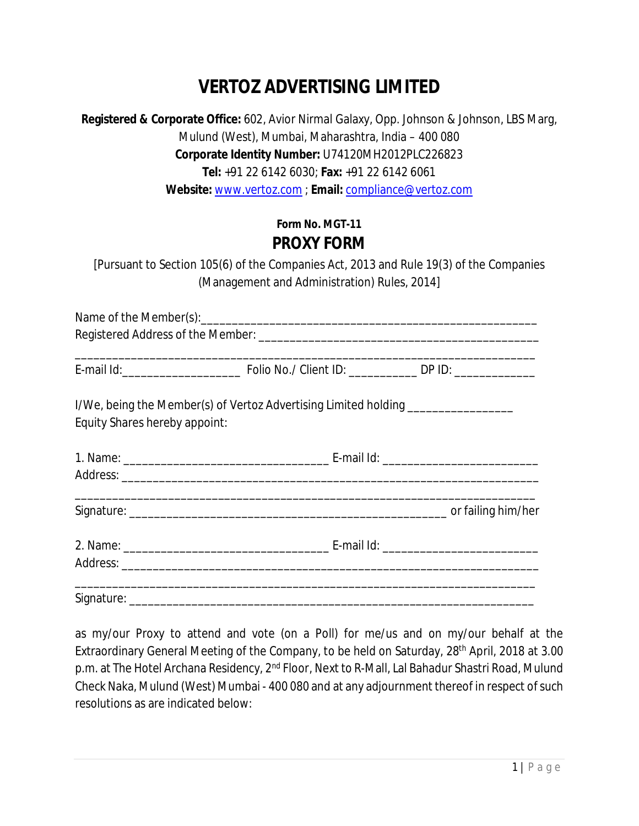**Registered & Corporate Office:** 602, Avior Nirmal Galaxy, Opp. Johnson & Johnson, LBS Marg, Mulund (West), Mumbai, Maharashtra, India – 400 080 **Corporate Identity Number:** U74120MH2012PLC226823 **Tel:** +91 22 6142 6030; **Fax:** +91 22 6142 6061 **Website:** [www.vertoz.com](http://www.vertoz.com) ; **Email:** [compliance@vertoz.com](mailto:compliance@vertoz.com)

## **Form No. MGT-11 PROXY FORM**

[Pursuant to Section 105(6) of the Companies Act, 2013 and Rule 19(3) of the Companies (Management and Administration) Rules, 2014]

|                               | I/We, being the Member(s) of Vertoz Advertising Limited holding ________________ |  |  |  |
|-------------------------------|----------------------------------------------------------------------------------|--|--|--|
| Equity Shares hereby appoint: |                                                                                  |  |  |  |
|                               |                                                                                  |  |  |  |
|                               |                                                                                  |  |  |  |
|                               |                                                                                  |  |  |  |
|                               |                                                                                  |  |  |  |
|                               |                                                                                  |  |  |  |
|                               |                                                                                  |  |  |  |

as my/our Proxy to attend and vote (on a Poll) for me/us and on my/our behalf at the Extraordinary General Meeting of the Company, to be held on Saturday, 28<sup>th</sup> April, 2018 at 3.00 p.m. at The Hotel Archana Residency, 2<sup>nd</sup> Floor, Next to R-Mall, Lal Bahadur Shastri Road, Mulund Check Naka, Mulund (West) Mumbai - 400 080 and at any adjournment thereof in respect of such resolutions as are indicated below: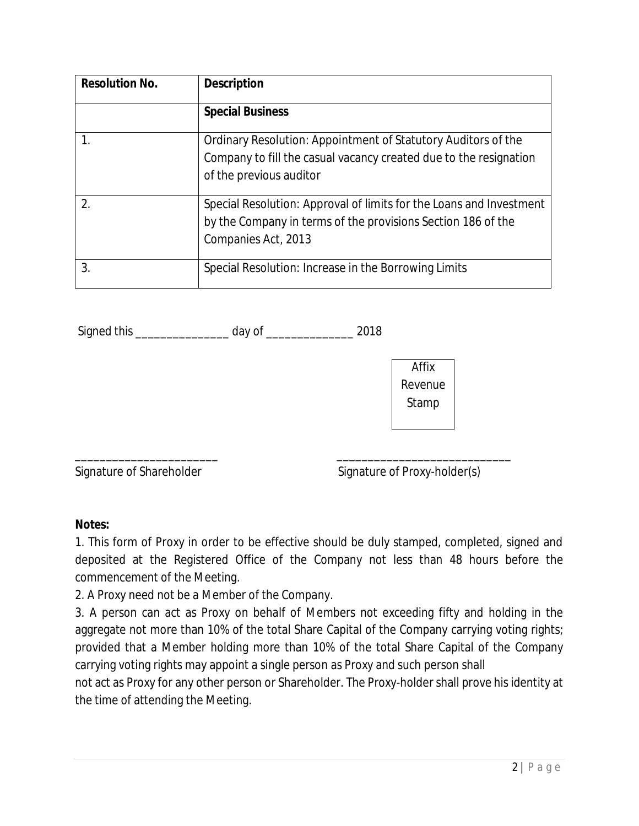| <b>Resolution No.</b> | <b>Description</b>                                                  |
|-----------------------|---------------------------------------------------------------------|
|                       | <b>Special Business</b>                                             |
| $\mathbf{1}$ .        | Ordinary Resolution: Appointment of Statutory Auditors of the       |
|                       | Company to fill the casual vacancy created due to the resignation   |
|                       | of the previous auditor                                             |
| 2.                    | Special Resolution: Approval of limits for the Loans and Investment |
|                       | by the Company in terms of the provisions Section 186 of the        |
|                       | Companies Act, 2013                                                 |
| 3.                    | Special Resolution: Increase in the Borrowing Limits                |

Signed this \_\_\_\_\_\_\_\_\_\_\_\_\_\_\_ day of \_\_\_\_\_\_\_\_\_\_\_\_\_\_ 2018

Affix Revenue Stamp

Signature of Shareholder Signature of Proxy-holder(s)

## **Notes:**

1. This form of Proxy in order to be effective should be duly stamped, completed, signed and deposited at the Registered Office of the Company not less than 48 hours before the commencement of the Meeting.

\_\_\_\_\_\_\_\_\_\_\_\_\_\_\_\_\_\_\_\_\_\_\_ \_\_\_\_\_\_\_\_\_\_\_\_\_\_\_\_\_\_\_\_\_\_\_\_\_\_\_\_

2. A Proxy need not be a Member of the Company.

3. A person can act as Proxy on behalf of Members not exceeding fifty and holding in the aggregate not more than 10% of the total Share Capital of the Company carrying voting rights; provided that a Member holding more than 10% of the total Share Capital of the Company carrying voting rights may appoint a single person as Proxy and such person shall

not act as Proxy for any other person or Shareholder. The Proxy-holder shall prove his identity at the time of attending the Meeting.